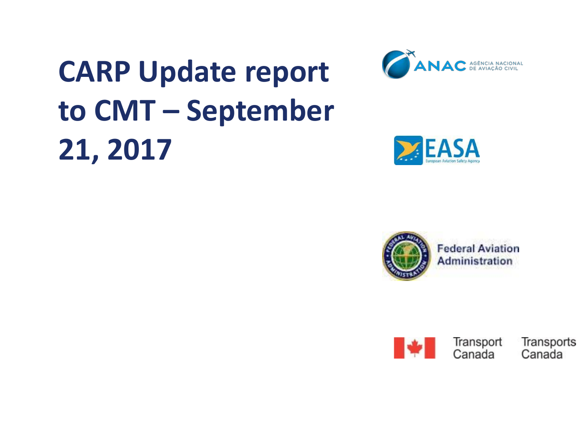

#### **CARP Update report to CMT – September 21, 2017**



**EASA** 





Transport Canada

Transports Canada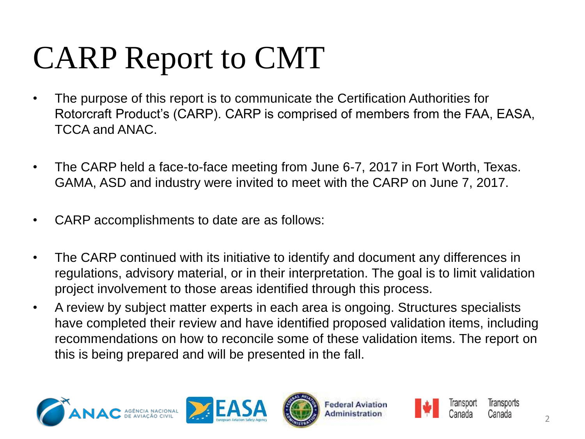# CARP Report to CMT

- The purpose of this report is to communicate the Certification Authorities for Rotorcraft Product's (CARP). CARP is comprised of members from the FAA, EASA, TCCA and ANAC.
- The CARP held a face-to-face meeting from June 6-7, 2017 in Fort Worth, Texas. GAMA, ASD and industry were invited to meet with the CARP on June 7, 2017.
- CARP accomplishments to date are as follows:
- The CARP continued with its initiative to identify and document any differences in regulations, advisory material, or in their interpretation. The goal is to limit validation project involvement to those areas identified through this process.
- A review by subject matter experts in each area is ongoing. Structures specialists have completed their review and have identified proposed validation items, including recommendations on how to reconcile some of these validation items. The report on this is being prepared and will be presented in the fall.









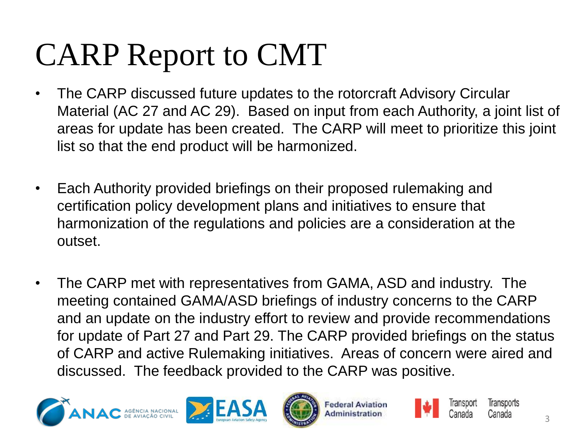## CARP Report to CMT

- The CARP discussed future updates to the rotorcraft Advisory Circular Material (AC 27 and AC 29). Based on input from each Authority, a joint list of areas for update has been created. The CARP will meet to prioritize this joint list so that the end product will be harmonized.
- Each Authority provided briefings on their proposed rulemaking and certification policy development plans and initiatives to ensure that harmonization of the regulations and policies are a consideration at the outset.
- The CARP met with representatives from GAMA, ASD and industry. The meeting contained GAMA/ASD briefings of industry concerns to the CARP and an update on the industry effort to review and provide recommendations for update of Part 27 and Part 29. The CARP provided briefings on the status of CARP and active Rulemaking initiatives. Areas of concern were aired and discussed. The feedback provided to the CARP was positive.